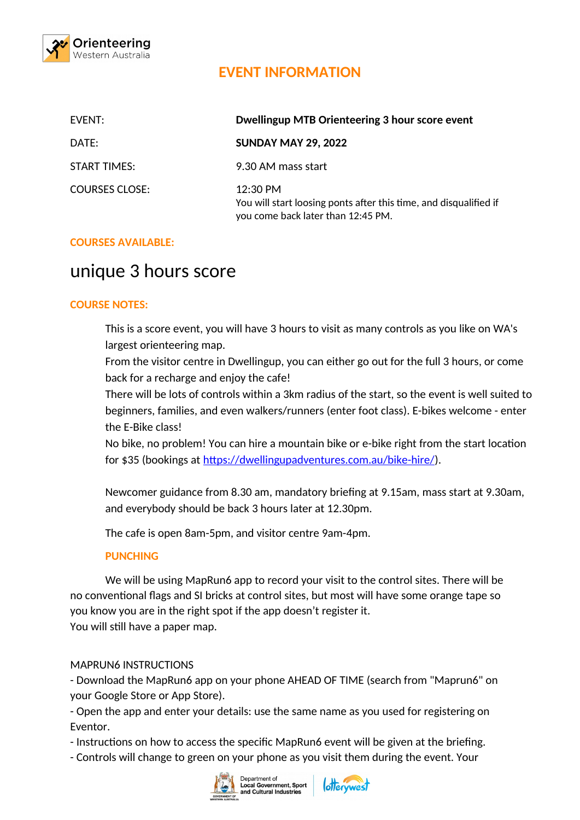

## **EVENT INFORMATION**

| EVENT:              | Dwellingup MTB Orienteering 3 hour score event                                                                        |
|---------------------|-----------------------------------------------------------------------------------------------------------------------|
| DATE:               | <b>SUNDAY MAY 29, 2022</b>                                                                                            |
| <b>START TIMES:</b> | 9.30 AM mass start                                                                                                    |
| COURSES CLOSE:      | $12:30$ PM<br>You will start loosing ponts after this time, and disqualified if<br>you come back later than 12:45 PM. |

## **COURSES AVAILABLE:**

# unique 3 hours score

## **COURSE NOTES:**

This is a score event, you will have 3 hours to visit as many controls as you like on WA's largest orienteering map.

From the visitor centre in Dwellingup, you can either go out for the full 3 hours, or come back for a recharge and enjoy the cafe!

There will be lots of controls within a 3km radius of the start, so the event is well suited to beginners, families, and even walkers/runners (enter foot class). E-bikes welcome - enter the E-Bike class!

No bike, no problem! You can hire a mountain bike or e-bike right from the start location for \$35 (bookings at https://dwellingupadventures.com.au/bike-hire/).

Newcomer guidance from 8.30 am, mandatory briefing at 9.15am, mass start at 9.30am, and everybody should be back 3 hours later at 12.30pm.

The cafe is open 8am-5pm, and visitor centre 9am-4pm.

## **PUNCHING**

We will be using MapRun6 app to record your visit to the control sites. There will be no conventional flags and SI bricks at control sites, but most will have some orange tape so you know you are in the right spot if the app doesn't register it. You will still have a paper map.

## MAPRUN6 INSTRUCTIONS

- Download the MapRun6 app on your phone AHEAD OF TIME (search from "Maprun6" on your Google Store or App Store).

- Open the app and enter your details: use the same name as you used for registering on Eventor.

- Instructions on how to access the specific MapRun6 event will be given at the briefing.

- Controls will change to green on your phone as you visit them during the event. Your



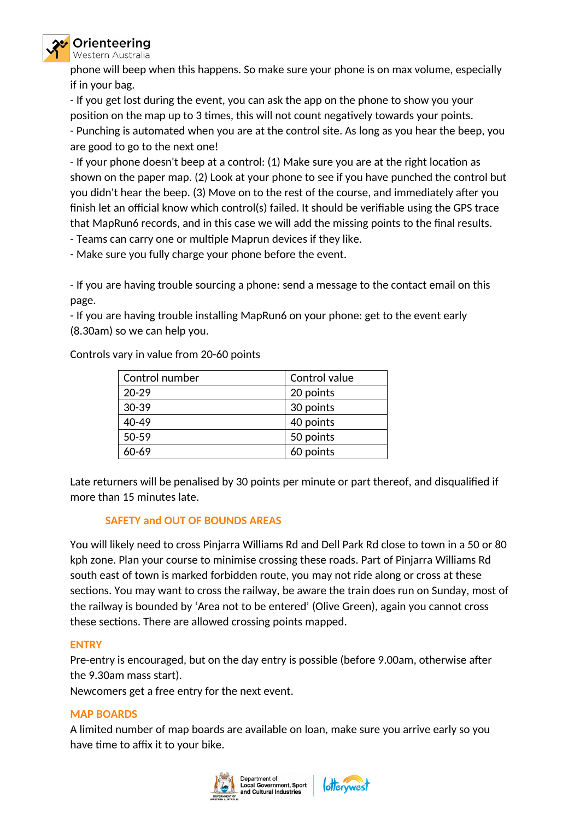

phone will beep when this happens. So make sure your phone is on max volume, especially if in your bag.

- If you get lost during the event, you can ask the app on the phone to show you your position on the map up to 3 times, this will not count negatively towards your points.

- Punching is automated when you are at the control site. As long as you hear the beep, you are good to go to the next one!

- If your phone doesn't beep at a control: (1) Make sure you are at the right location as shown on the paper map. (2) Look at your phone to see if you have punched the control but you didn't hear the beep. (3) Move on to the rest of the course, and immediately after you finish let an official know which control(s) failed. It should be verifiable using the GPS trace that MapRun6 records, and in this case we will add the missing points to the final results.

- Teams can carry one or multiple Maprun devices if they like.

- Make sure you fully charge your phone before the event.

- If you are having trouble sourcing a phone: send a message to the contact email on this page.

- If you are having trouble installing MapRun6 on your phone: get to the event early (8.30am) so we can help you.

Controls vary in value from 20-60 points

| Control number | Control value |
|----------------|---------------|
| $20 - 29$      | 20 points     |
| $30 - 39$      | 30 points     |
| 40-49          | 40 points     |
| 50-59          | 50 points     |
| 60-69          | 60 points     |

Late returners will be penalised by 30 points per minute or part thereof, and disqualified if more than 15 minutes late.

## **SAFETY and OUT OF BOUNDS AREAS**

You will likely need to cross Pinjarra Williams Rd and Dell Park Rd close to town in a 50 or 80 kph zone. Plan your course to minimise crossing these roads. Part of Pinjarra Williams Rd south east of town is marked forbidden route, you may not ride along or cross at these sections. You may want to cross the railway, be aware the train does run on Sunday, most of the railway is bounded by 'Area not to be entered' (Olive Green), again you cannot cross these sections. There are allowed crossing points mapped.

## **ENTRY**

Pre-entry is encouraged, but on the day entry is possible (before 9.00am, otherwise after the 9.30am mass start).

Newcomers get a free entry for the next event.

## **MAP BOARDS**

A limited number of map boards are available on loan, make sure you arrive early so you have time to affix it to your bike.